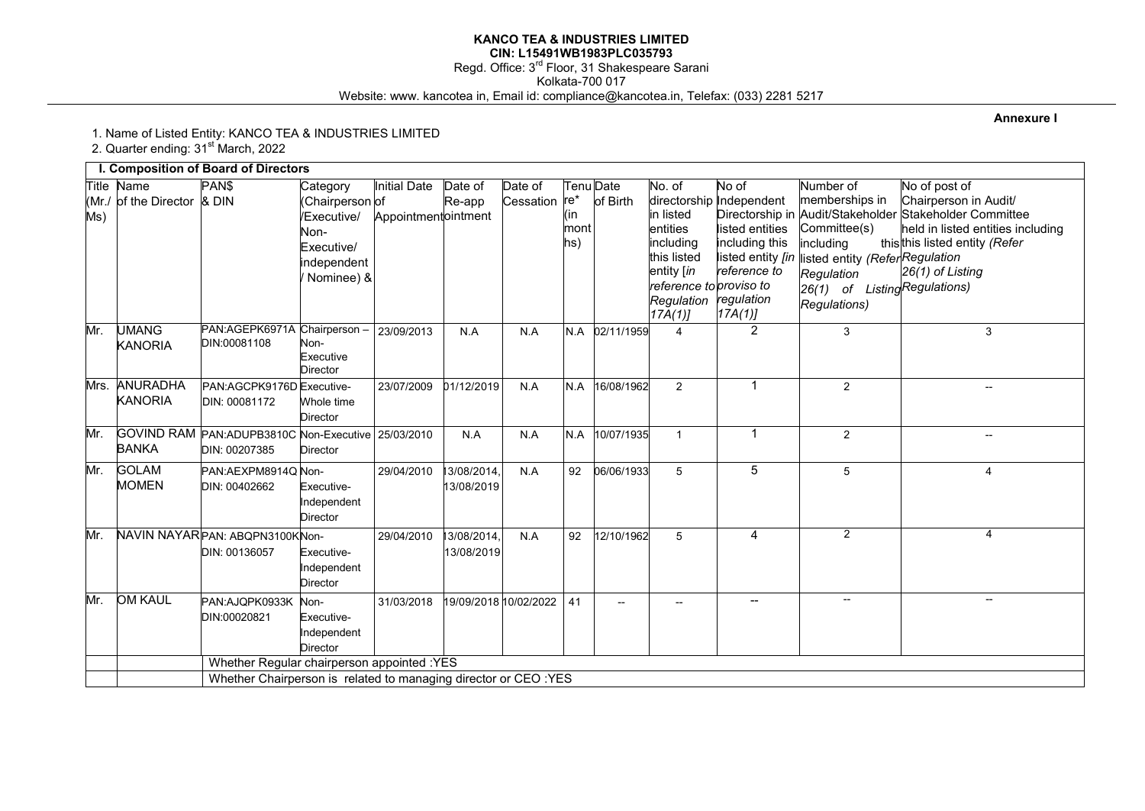#### **KANCO TEA & INDUSTRIES LIMITED CIN: L15491WB1983PLC035793**  Regd. Office: 3<sup>rd</sup> Floor, 31 Shakespeare Sarani Kolkata-700 017 Website: www. kancotea in, Email id: compliance@kancotea.in, Telefax: (033) 2281 5217

**Annexure I** 

1. Name of Listed Entity: KANCO TEA & INDUSTRIES LIMITED

2. Quarter ending: 31<sup>st</sup> March, 2022

|              |                                     | I. Composition of Board of Directors                            |                                                                                               |                                            |                          |                      |                             |                       |                                                                                                                              |                                                                                                                                     |                                                                                                                                                                             |                                                                                                                                                                                             |
|--------------|-------------------------------------|-----------------------------------------------------------------|-----------------------------------------------------------------------------------------------|--------------------------------------------|--------------------------|----------------------|-----------------------------|-----------------------|------------------------------------------------------------------------------------------------------------------------------|-------------------------------------------------------------------------------------------------------------------------------------|-----------------------------------------------------------------------------------------------------------------------------------------------------------------------------|---------------------------------------------------------------------------------------------------------------------------------------------------------------------------------------------|
| (Mr./<br>Ms) | Title Name<br>of the Director & DIN | PAN\$                                                           | Category<br>(Chairperson of<br>/Executive/<br>Non-<br>Executive/<br>independent<br>Nominee) & | <b>Initial Date</b><br>Appointmentointment | Date of<br>Re-app        | Date of<br>Cessation | $re*$<br>(in<br>mont<br>hs) | Tenu Date<br>of Birth | No. of<br>in listed<br>entities<br>includina<br>this listed<br>entity [in<br>reference to proviso to<br>Regulation<br>17A(1) | No of<br>directorship Independent<br>listed entities<br>including this<br>listed entity [in<br>reference to<br>regulation<br>17A(1) | Number of<br>memberships in<br>Committee(s)<br>including<br>listed entity <i>(Refer<sup> </sup>Regulation</i><br>Regulation<br>26(1) of ListingRegulations)<br>Regulations) | No of post of<br>Chairperson in Audit/<br>Directorship in Audit/Stakeholder Stakeholder Committee<br>held in listed entities including<br>thisthis listed entity (Refer<br>26(1) of Listing |
| Mr.          | UMANG<br><b>KANORIA</b>             | PAN:AGEPK6971A Chairperson<br>DIN:00081108                      | Non-<br>Executive<br><b>Director</b>                                                          | 23/09/2013                                 | N.A                      | N.A                  | N.A                         | 02/11/1959            | 4                                                                                                                            | $\overline{2}$                                                                                                                      | 3                                                                                                                                                                           | 3                                                                                                                                                                                           |
| Mrs.         | ANURADHA<br><b>KANORIA</b>          | PAN:AGCPK9176D Executive-<br>DIN: 00081172                      | Whole time<br><b>Director</b>                                                                 | 23/07/2009                                 | 01/12/2019               | N.A                  | N.A                         | 16/08/1962            | $\overline{2}$                                                                                                               | $\mathbf{1}$                                                                                                                        | $\overline{c}$                                                                                                                                                              |                                                                                                                                                                                             |
| Mr.          | <b>BANKA</b>                        | GOVIND RAM PAN: ADUPB3810C Non-Executive<br>DIN: 00207385       | <b>Director</b>                                                                               | 25/03/2010                                 | N.A                      | N.A                  | N.A                         | 10/07/1935            | $\mathbf{1}$                                                                                                                 | $\mathbf{1}$                                                                                                                        | $\overline{2}$                                                                                                                                                              |                                                                                                                                                                                             |
| Mr.          | <b>GOLAM</b><br><b>MOMEN</b>        | PAN: AEXPM8914Q Non-<br>DIN: 00402662                           | Executive-<br>Independent<br><b>Director</b>                                                  | 29/04/2010                                 | 3/08/2014,<br>13/08/2019 | N.A                  | 92                          | 06/06/1933            | 5                                                                                                                            | $\overline{5}$                                                                                                                      | 5                                                                                                                                                                           | $\overline{4}$                                                                                                                                                                              |
| Mr.          |                                     | NAVIN NAYAR PAN: ABQPN3100KNon-<br>DIN: 00136057                | Executive-<br>Independent<br><b>Director</b>                                                  | 29/04/2010                                 | 3/08/2014<br>13/08/2019  | N.A                  | 92                          | 12/10/1962            | 5                                                                                                                            | 4                                                                                                                                   | $\overline{2}$                                                                                                                                                              | $\overline{4}$                                                                                                                                                                              |
| Mr.          | <b>OM KAUL</b>                      | PAN:AJQPK0933K<br>DIN:00020821                                  | Non-<br>Executive-<br>Independent<br><b>Director</b>                                          | 31/03/2018                                 | 19/09/2018 10/02/2022    |                      | 41                          |                       |                                                                                                                              |                                                                                                                                     | $\overline{a}$                                                                                                                                                              | $\overline{\phantom{a}}$                                                                                                                                                                    |
|              |                                     | Whether Regular chairperson appointed : YES                     |                                                                                               |                                            |                          |                      |                             |                       |                                                                                                                              |                                                                                                                                     |                                                                                                                                                                             |                                                                                                                                                                                             |
|              |                                     | Whether Chairperson is related to managing director or CEO :YES |                                                                                               |                                            |                          |                      |                             |                       |                                                                                                                              |                                                                                                                                     |                                                                                                                                                                             |                                                                                                                                                                                             |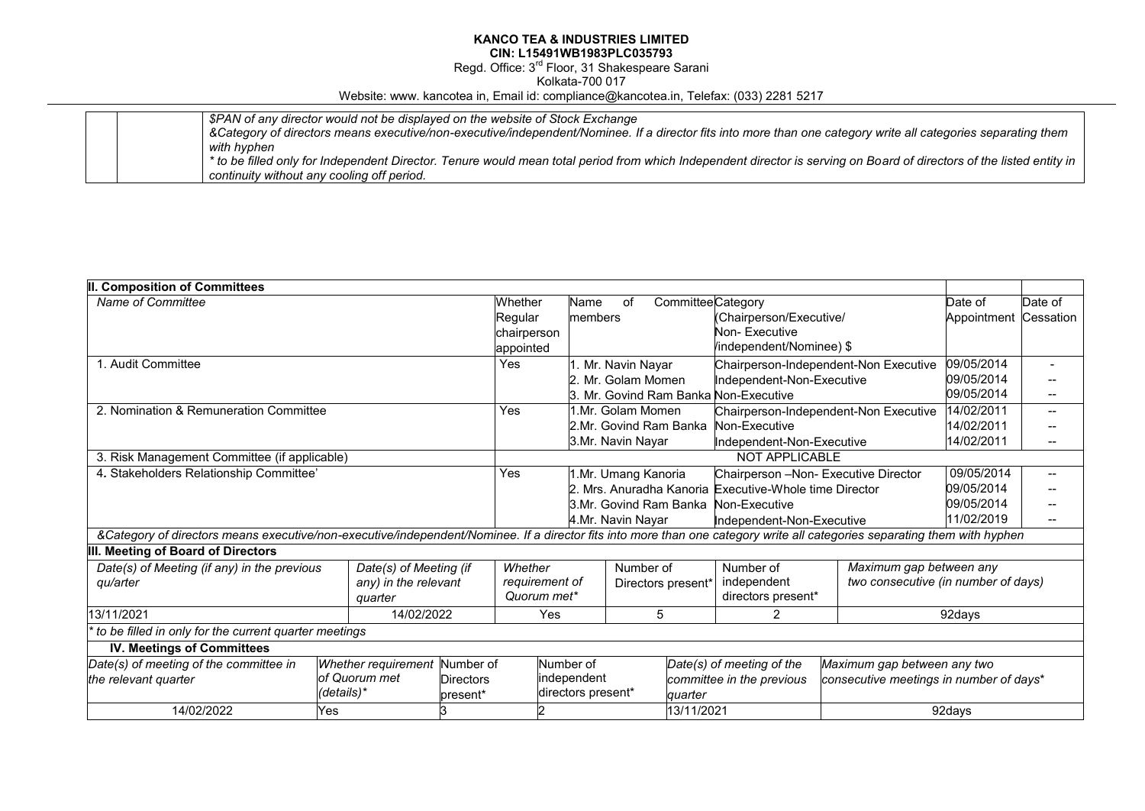Regd. Office: 3<sup>rd</sup> Floor, 31 Shakespeare Sarani

Kolkata-700 017

Website: www. kancotea in, Email id: compliance@kancotea.in, Telefax: (033) 2281 5217

|  | \$PAN of any director would not be displayed on the website of Stock Exchange                                                                                         |
|--|-----------------------------------------------------------------------------------------------------------------------------------------------------------------------|
|  | &Category of directors means executive/non-executive/independent/Nominee. If a director fits into more than one category write all categories separating them         |
|  | with hyphen                                                                                                                                                           |
|  | * to be filled only for Independent Director. Tenure would mean total period from which Independent director is serving on Board of directors of the listed entity in |
|  | continuity without any cooling off period.                                                                                                                            |

| <b>II. Composition of Committees</b>                                                                                                                                      |  |                        |                |             |                     |                                                     |                                       |                                       |                                         |                                     |         |
|---------------------------------------------------------------------------------------------------------------------------------------------------------------------------|--|------------------------|----------------|-------------|---------------------|-----------------------------------------------------|---------------------------------------|---------------------------------------|-----------------------------------------|-------------------------------------|---------|
| Name of Committee                                                                                                                                                         |  |                        |                | Whether     | Name                | οf                                                  |                                       | <b>Committee</b> Category             |                                         | Date of                             | Date of |
| Regular                                                                                                                                                                   |  |                        |                |             | members             |                                                     | (Chairperson/Executive/               |                                       | Appointment                             | Cessation                           |         |
|                                                                                                                                                                           |  |                        |                |             | chairperson         |                                                     |                                       | Non-Executive                         |                                         |                                     |         |
|                                                                                                                                                                           |  |                        |                | appointed   |                     |                                                     |                                       | /independent/Nominee) \$              |                                         |                                     |         |
| 1. Audit Committee                                                                                                                                                        |  |                        |                | Yes         | I. Mr. Navin Nayar  |                                                     | Chairperson-Independent-Non Executive |                                       | 09/05/2014                              |                                     |         |
|                                                                                                                                                                           |  |                        |                |             |                     | 2. Mr. Golam Momen                                  |                                       | Independent-Non-Executive             |                                         | 09/05/2014                          |         |
|                                                                                                                                                                           |  |                        |                |             |                     |                                                     |                                       | 3. Mr. Govind Ram Banka Non-Executive |                                         | 09/05/2014                          |         |
| 2. Nomination & Remuneration Committee                                                                                                                                    |  |                        |                | Yes         |                     | 1.Mr. Golam Momen                                   |                                       |                                       | Chairperson-Independent-Non Executive   | 14/02/2011                          |         |
|                                                                                                                                                                           |  |                        |                |             |                     | 2.Mr. Govind Ram Banka                              |                                       | Non-Executive                         |                                         | 14/02/2011                          |         |
|                                                                                                                                                                           |  |                        |                |             |                     | 3.Mr. Navin Nayar                                   |                                       | Independent-Non-Executive             |                                         | 14/02/2011                          |         |
| 3. Risk Management Committee (if applicable)                                                                                                                              |  |                        |                |             |                     |                                                     |                                       | <b>NOT APPLICABLE</b>                 |                                         |                                     |         |
| 4. Stakeholders Relationship Committee'                                                                                                                                   |  |                        |                | Yes         | 1.Mr. Umang Kanoria |                                                     |                                       | Chairperson -Non- Executive Director  |                                         | 09/05/2014                          |         |
|                                                                                                                                                                           |  |                        |                |             |                     | Mrs. Anuradha Kanoria Executive-Whole time Director |                                       | 09/05/2014                            |                                         |                                     |         |
|                                                                                                                                                                           |  |                        |                |             |                     |                                                     |                                       | 3.Mr. Govind Ram Banka Non-Executive  |                                         | 09/05/2014                          |         |
|                                                                                                                                                                           |  |                        |                |             |                     | 4.Mr. Navin Nayar                                   |                                       | Independent-Non-Executive             |                                         | 11/02/2019                          |         |
| &Category of directors means executive/non-executive/independent/Nominee. If a director fits into more than one category write all categories separating them with hyphen |  |                        |                |             |                     |                                                     |                                       |                                       |                                         |                                     |         |
| III. Meeting of Board of Directors                                                                                                                                        |  |                        |                |             |                     |                                                     |                                       |                                       |                                         |                                     |         |
| Date(s) of Meeting (if any) in the previous                                                                                                                               |  | Date(s) of Meeting (if |                | Whether     |                     | Number of                                           |                                       | Number of                             | Maximum gap between any                 |                                     |         |
| qu/arter                                                                                                                                                                  |  | any) in the relevant   | requirement of |             |                     | Directors present*                                  |                                       | independent                           |                                         | two consecutive (in number of days) |         |
|                                                                                                                                                                           |  | auarter                |                | Quorum met* |                     |                                                     |                                       | directors present*                    |                                         |                                     |         |
| 13/11/2021                                                                                                                                                                |  | 14/02/2022             |                | Yes         |                     | 5                                                   |                                       | 2                                     | 92days                                  |                                     |         |
| to be filled in only for the current quarter meetings                                                                                                                     |  |                        |                |             |                     |                                                     |                                       |                                       |                                         |                                     |         |
| <b>IV. Meetings of Committees</b>                                                                                                                                         |  |                        |                |             |                     |                                                     |                                       |                                       |                                         |                                     |         |
| Date(s) of meeting of the committee in<br>Whether requirement<br>Number of                                                                                                |  |                        | Number of      |             |                     | Date(s) of meeting of the                           | Maximum gap between any two           |                                       |                                         |                                     |         |
| of Quorum met<br>the relevant quarter                                                                                                                                     |  | <b>Directors</b>       |                |             | independent         |                                                     | committee in the previous             |                                       | consecutive meetings in number of days* |                                     |         |
| (details)*                                                                                                                                                                |  |                        | present*       |             |                     | directors present*<br>quarter                       |                                       |                                       |                                         |                                     |         |
| 14/02/2022<br>Yes                                                                                                                                                         |  |                        |                |             | 13/11/2021          |                                                     | 92days                                |                                       |                                         |                                     |         |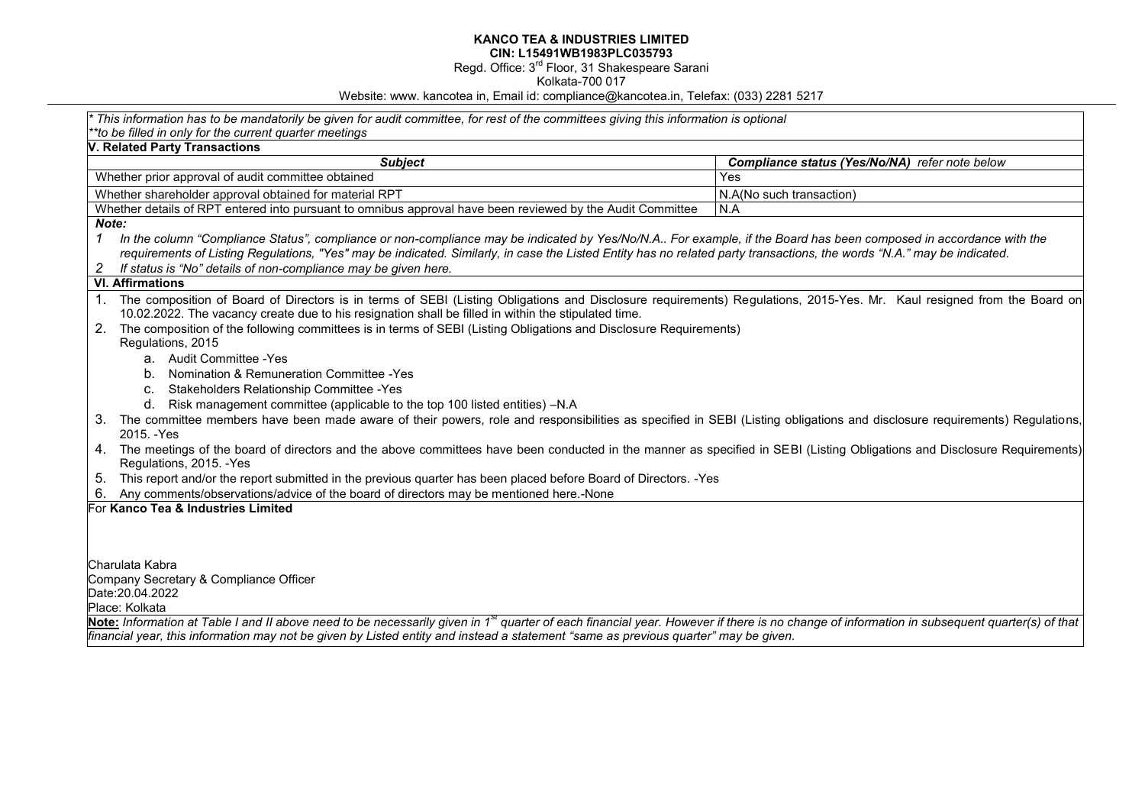Regd. Office: 3<sup>rd</sup> Floor, 31 Shakespeare Sarani

Kolkata-700 017

Website: www. kancotea in, Email id: compliance@kancotea.in, Telefax: (033) 2281 5217

| This information has to be mandatorily be given for audit committee, for rest of the committees giving this information is optional                                                                                                                                                                                                            |                                                |  |  |  |  |  |
|------------------------------------------------------------------------------------------------------------------------------------------------------------------------------------------------------------------------------------------------------------------------------------------------------------------------------------------------|------------------------------------------------|--|--|--|--|--|
| *to be filled in only for the current quarter meetings<br><b>V. Related Party Transactions</b>                                                                                                                                                                                                                                                 |                                                |  |  |  |  |  |
| <b>Subject</b>                                                                                                                                                                                                                                                                                                                                 | Compliance status (Yes/No/NA) refer note below |  |  |  |  |  |
| Whether prior approval of audit committee obtained                                                                                                                                                                                                                                                                                             | Yes                                            |  |  |  |  |  |
| Whether shareholder approval obtained for material RPT                                                                                                                                                                                                                                                                                         | N.A(No such transaction)                       |  |  |  |  |  |
| Whether details of RPT entered into pursuant to omnibus approval have been reviewed by the Audit Committee                                                                                                                                                                                                                                     | N.A                                            |  |  |  |  |  |
| Note:                                                                                                                                                                                                                                                                                                                                          |                                                |  |  |  |  |  |
| $\mathcal I$<br>In the column "Compliance Status", compliance or non-compliance may be indicated by Yes/No/N.A For example, if the Board has been composed in accordance with the                                                                                                                                                              |                                                |  |  |  |  |  |
| requirements of Listing Regulations, "Yes" may be indicated. Similarly, in case the Listed Entity has no related party transactions, the words "N.A." may be indicated.                                                                                                                                                                        |                                                |  |  |  |  |  |
| If status is "No" details of non-compliance may be given here.                                                                                                                                                                                                                                                                                 |                                                |  |  |  |  |  |
| <b>VI. Affirmations</b>                                                                                                                                                                                                                                                                                                                        |                                                |  |  |  |  |  |
| 1. The composition of Board of Directors is in terms of SEBI (Listing Obligations and Disclosure requirements) Regulations, 2015-Yes. Mr. Kaul resigned from the Board on<br>10.02.2022. The vacancy create due to his resignation shall be filled in within the stipulated time.                                                              |                                                |  |  |  |  |  |
| 2.<br>The composition of the following committees is in terms of SEBI (Listing Obligations and Disclosure Requirements)                                                                                                                                                                                                                        |                                                |  |  |  |  |  |
| Regulations, 2015                                                                                                                                                                                                                                                                                                                              |                                                |  |  |  |  |  |
| a. Audit Committee - Yes                                                                                                                                                                                                                                                                                                                       |                                                |  |  |  |  |  |
| b. Nomination & Remuneration Committee - Yes                                                                                                                                                                                                                                                                                                   |                                                |  |  |  |  |  |
| c. Stakeholders Relationship Committee - Yes                                                                                                                                                                                                                                                                                                   |                                                |  |  |  |  |  |
| d. Risk management committee (applicable to the top 100 listed entities) -N.A                                                                                                                                                                                                                                                                  |                                                |  |  |  |  |  |
| The committee members have been made aware of their powers, role and responsibilities as specified in SEBI (Listing obligations and disclosure requirements) Regulations,<br>3.<br>2015. - Yes                                                                                                                                                 |                                                |  |  |  |  |  |
| 4. The meetings of the board of directors and the above committees have been conducted in the manner as specified in SEBI (Listing Obligations and Disclosure Requirements)<br>Regulations, 2015. - Yes                                                                                                                                        |                                                |  |  |  |  |  |
| This report and/or the report submitted in the previous quarter has been placed before Board of Directors. -Yes<br>5.                                                                                                                                                                                                                          |                                                |  |  |  |  |  |
| Any comments/observations/advice of the board of directors may be mentioned here.-None                                                                                                                                                                                                                                                         |                                                |  |  |  |  |  |
| For Kanco Tea & Industries Limited                                                                                                                                                                                                                                                                                                             |                                                |  |  |  |  |  |
|                                                                                                                                                                                                                                                                                                                                                |                                                |  |  |  |  |  |
|                                                                                                                                                                                                                                                                                                                                                |                                                |  |  |  |  |  |
| Charulata Kabra                                                                                                                                                                                                                                                                                                                                |                                                |  |  |  |  |  |
| Company Secretary & Compliance Officer                                                                                                                                                                                                                                                                                                         |                                                |  |  |  |  |  |
| Date: 20.04.2022                                                                                                                                                                                                                                                                                                                               |                                                |  |  |  |  |  |
| Place: Kolkata                                                                                                                                                                                                                                                                                                                                 |                                                |  |  |  |  |  |
| Note: Information at Table I and II above need to be necessarily given in 1 <sup>st</sup> quarter of each financial year. However if there is no change of information in subsequent quarter(s) of that<br>financial year, this information may not be given by Listed entity and instead a statement "same as previous quarter" may be given. |                                                |  |  |  |  |  |
|                                                                                                                                                                                                                                                                                                                                                |                                                |  |  |  |  |  |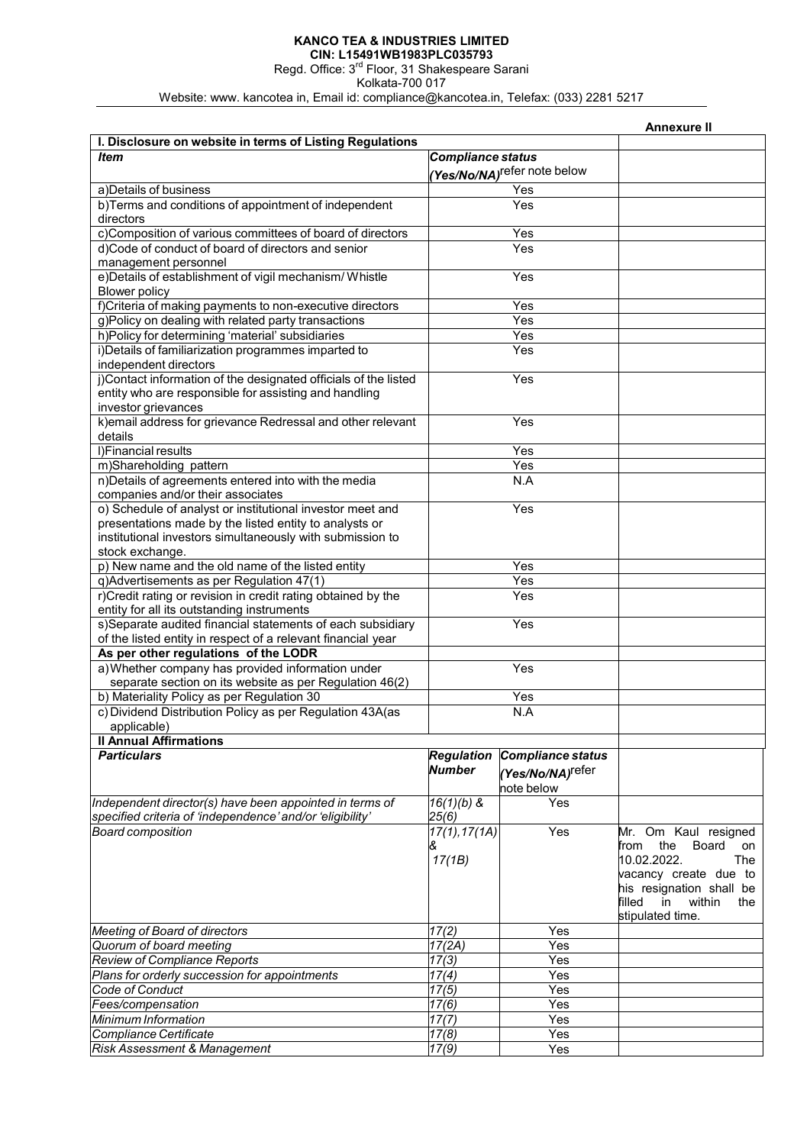# **KANCO TEA & INDUSTRIES LIMITED**

**CIN: L15491WB1983PLC035793**  Regd. Office: 3<sup>rd</sup> Floor, 31 Shakespeare Sarani

Kolkata-700 017

Website: www. kancotea in, Email id: compliance@kancotea.in, Telefax: (033) 2281 5217

|                                                                 |                          |                                         | Annexure II                   |
|-----------------------------------------------------------------|--------------------------|-----------------------------------------|-------------------------------|
| I. Disclosure on website in terms of Listing Regulations        |                          |                                         |                               |
| <b>Item</b>                                                     | <b>Compliance status</b> |                                         |                               |
|                                                                 |                          | (Yes/No/NA) <sup>refer</sup> note below |                               |
| a) Details of business                                          |                          | Yes                                     |                               |
| b)Terms and conditions of appointment of independent            |                          | Yes                                     |                               |
|                                                                 |                          |                                         |                               |
| directors                                                       |                          |                                         |                               |
| c)Composition of various committees of board of directors       |                          | Yes                                     |                               |
| d)Code of conduct of board of directors and senior              |                          | Yes                                     |                               |
| management personnel                                            |                          |                                         |                               |
| e)Details of establishment of vigil mechanism/ Whistle          |                          | Yes                                     |                               |
| <b>Blower policy</b>                                            |                          |                                         |                               |
| f)Criteria of making payments to non-executive directors        |                          | Yes                                     |                               |
| g)Policy on dealing with related party transactions             |                          | Yes                                     |                               |
| h)Policy for determining 'material' subsidiaries                |                          | Yes                                     |                               |
| i) Details of familiarization programmes imparted to            |                          | Yes                                     |                               |
| independent directors                                           |                          |                                         |                               |
| j)Contact information of the designated officials of the listed |                          | Yes                                     |                               |
| entity who are responsible for assisting and handling           |                          |                                         |                               |
| investor grievances                                             |                          |                                         |                               |
| k) email address for grievance Redressal and other relevant     |                          | Yes                                     |                               |
| details                                                         |                          |                                         |                               |
| I) Financial results                                            |                          | Yes                                     |                               |
| m)Shareholding pattern                                          |                          | Yes                                     |                               |
| n)Details of agreements entered into with the media             |                          | N.A                                     |                               |
| companies and/or their associates                               |                          |                                         |                               |
| o) Schedule of analyst or institutional investor meet and       |                          | Yes                                     |                               |
|                                                                 |                          |                                         |                               |
| presentations made by the listed entity to analysts or          |                          |                                         |                               |
| institutional investors simultaneously with submission to       |                          |                                         |                               |
| stock exchange.                                                 |                          |                                         |                               |
| p) New name and the old name of the listed entity               |                          | Yes                                     |                               |
| q)Advertisements as per Regulation 47(1)                        |                          | Yes                                     |                               |
| r)Credit rating or revision in credit rating obtained by the    |                          | Yes                                     |                               |
| entity for all its outstanding instruments                      |                          |                                         |                               |
| s)Separate audited financial statements of each subsidiary      | Yes                      |                                         |                               |
| of the listed entity in respect of a relevant financial year    |                          |                                         |                               |
| As per other regulations of the LODR                            |                          |                                         |                               |
| a) Whether company has provided information under               |                          | Yes                                     |                               |
| separate section on its website as per Regulation 46(2)         |                          |                                         |                               |
| b) Materiality Policy as per Regulation 30                      |                          | Yes                                     |                               |
| c) Dividend Distribution Policy as per Regulation 43A(as        |                          | N.A                                     |                               |
| applicable)                                                     |                          |                                         |                               |
| <b>Il Annual Affirmations</b>                                   |                          |                                         |                               |
| <b>Particulars</b>                                              | <b>Regulation</b>        | Compliance status                       |                               |
|                                                                 | <b>Number</b>            |                                         |                               |
|                                                                 |                          | (Yes/No/NA) <sup>refer</sup>            |                               |
|                                                                 |                          | note below                              |                               |
| Independent director(s) have been appointed in terms of         | $16(1)(b)$ &             | Yes                                     |                               |
| specified criteria of 'independence' and/or 'eligibility'       | 25(6)                    |                                         |                               |
| <b>Board composition</b>                                        | 17(1), 17(1)             | Yes                                     | Mr. Om Kaul resigned          |
|                                                                 | &                        |                                         | the<br>Board<br>from<br>on    |
|                                                                 | 17(1B)                   |                                         | 10.02.2022.<br>The            |
|                                                                 |                          |                                         | vacancy create due to         |
|                                                                 |                          |                                         | his resignation shall be      |
|                                                                 |                          |                                         | filled<br>in<br>within<br>the |
|                                                                 |                          |                                         | stipulated time.              |
| Meeting of Board of directors                                   | $\overline{17(2)}$       | Yes                                     |                               |
| Quorum of board meeting                                         | 17(2A)                   | Yes                                     |                               |
| <b>Review of Compliance Reports</b>                             | 17(3)                    | Yes                                     |                               |
| Plans for orderly succession for appointments                   | 17(4)                    | Yes                                     |                               |
| Code of Conduct                                                 | 17(5)                    | Yes                                     |                               |
| Fees/compensation                                               | 17(6)                    | Yes                                     |                               |
| Minimum Information                                             | 17(7)                    | Yes                                     |                               |
| Compliance Certificate                                          | 17(8)                    | Yes                                     |                               |
| Risk Assessment & Management                                    | 17(9)                    | Yes                                     |                               |
|                                                                 |                          |                                         |                               |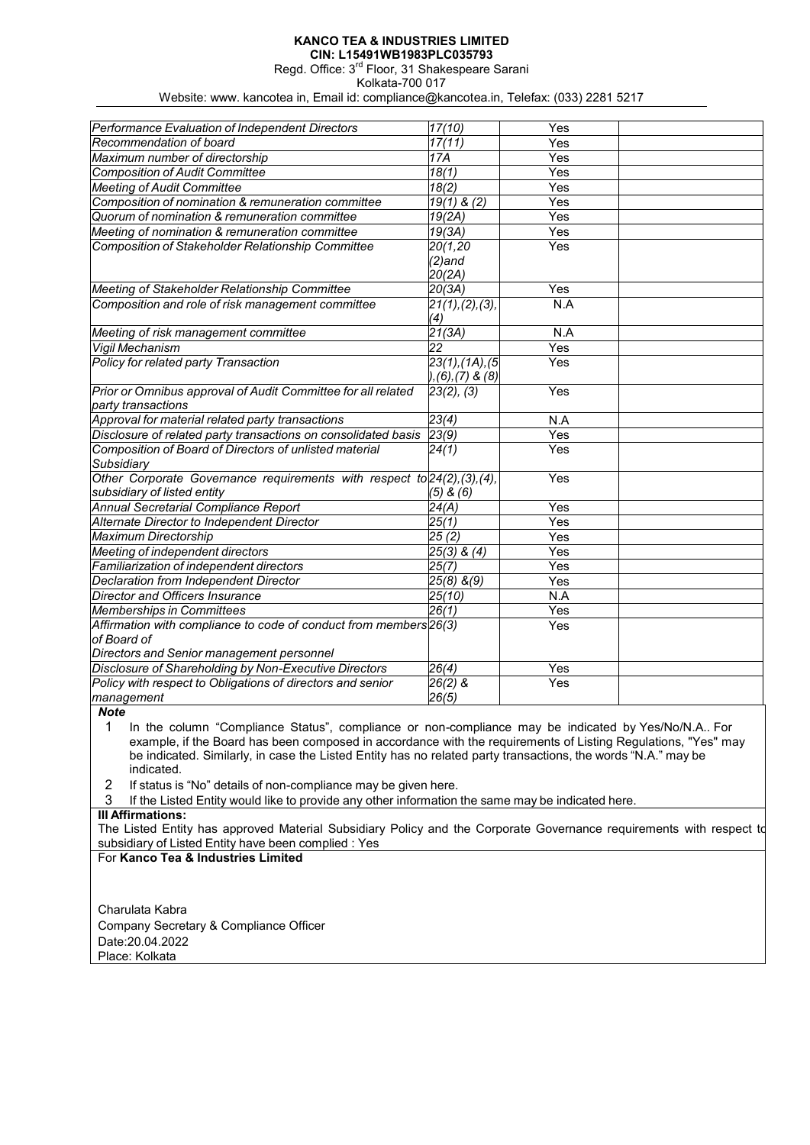Regd. Office: 3rd Floor, 31 Shakespeare Sarani

Kolkata-700 017

Website: www. kancotea in, Email id: compliance@kancotea.in, Telefax: (033) 2281 5217

| Performance Evaluation of Independent Directors                          | 17(10)                   | Yes |  |
|--------------------------------------------------------------------------|--------------------------|-----|--|
| Recommendation of board                                                  | 17(11)                   | Yes |  |
| Maximum number of directorship                                           | 17A                      | Yes |  |
| <b>Composition of Audit Committee</b>                                    | 18(1)                    | Yes |  |
| <b>Meeting of Audit Committee</b>                                        | $\sqrt{18(2)}$           | Yes |  |
| Composition of nomination & remuneration committee                       | $19(1)$ & (2)            | Yes |  |
| Quorum of nomination & remuneration committee                            | 19(2A)                   | Yes |  |
| Meeting of nomination & remuneration committee                           | 19(3A)                   | Yes |  |
| Composition of Stakeholder Relationship Committee                        | 20(1,20                  | Yes |  |
|                                                                          | $(2)$ and                |     |  |
|                                                                          | 20(2A)                   |     |  |
| Meeting of Stakeholder Relationship Committee                            | 20(3A)                   | Yes |  |
| Composition and role of risk management committee                        | 21(1), (2), (3),         | N.A |  |
|                                                                          | (4)                      |     |  |
| Meeting of risk management committee                                     | 21(3A)                   | N.A |  |
| Vigil Mechanism                                                          | 22                       | Yes |  |
| <b>Policy for related party Transaction</b>                              | $23(1)$ , $(1A)$ , $(5)$ | Yes |  |
|                                                                          | $(6)$ , $(7)$ & $(8)$    |     |  |
| Prior or Omnibus approval of Audit Committee for all related             | 23(2), (3)               | Yes |  |
| party transactions                                                       |                          |     |  |
| Approval for material related party transactions                         | 23(4)                    | N.A |  |
| Disclosure of related party transactions on consolidated basis           | 23(9)                    | Yes |  |
| Composition of Board of Directors of unlisted material                   | 24(1)                    | Yes |  |
| Subsidiary                                                               |                          |     |  |
| Other Corporate Governance requirements with respect to 24(2), (3), (4), |                          | Yes |  |
| subsidiary of listed entity                                              | (5) & (6)                |     |  |
| Annual Secretarial Compliance Report                                     | 24(A)                    | Yes |  |
| Alternate Director to Independent Director                               | 25(1)                    | Yes |  |
| <b>Maximum Directorship</b>                                              | 25(2)                    | Yes |  |
| Meeting of independent directors                                         | $25(3)$ & $(4)$          | Yes |  |
| Familiarization of independent directors                                 | 25(7)                    | Yes |  |
| Declaration from Independent Director                                    | $25(8)$ & (9)            | Yes |  |
| <b>Director and Officers Insurance</b>                                   | 25(10)                   | N.A |  |
| <b>Memberships in Committees</b>                                         | 26(1)                    | Yes |  |
| Affirmation with compliance to code of conduct from members 26(3)        |                          | Yes |  |
| of Board of                                                              |                          |     |  |
| Directors and Senior management personnel                                |                          |     |  |
| Disclosure of Shareholding by Non-Executive Directors                    | 26(4)                    | Yes |  |
| Policy with respect to Obligations of directors and senior               | $26(2)$ &                | Yes |  |
| management                                                               | 26(5)                    |     |  |

*Note*

1 In the column "Compliance Status", compliance or non-compliance may be indicated by Yes/No/N.A.. For example, if the Board has been composed in accordance with the requirements of Listing Regulations, "Yes" may be indicated. Similarly, in case the Listed Entity has no related party transactions, the words "N.A." may be indicated.

- 2 If status is "No" details of non-compliance may be given here.
- 3 If the Listed Entity would like to provide any other information the same may be indicated here.

## **III Affirmations:**

The Listed Entity has approved Material Subsidiary Policy and the Corporate Governance requirements with respect to subsidiary of Listed Entity have been complied : Yes

For **Kanco Tea & Industries Limited** 

Charulata Kabra Company Secretary & Compliance Officer Date:20.04.2022 Place: Kolkata